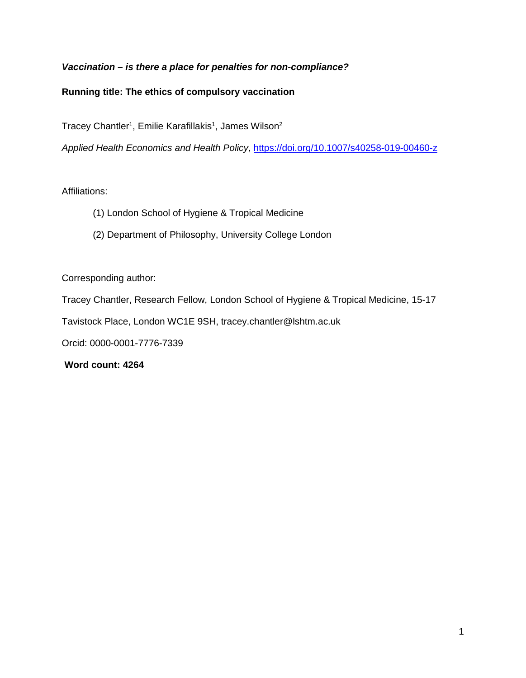# *Vaccination – is there a place for penalties for non-compliance?*

## **Running title: The ethics of compulsory vaccination**

Tracey Chantler<sup>1</sup>, Emilie Karafillakis<sup>1</sup>, James Wilson<sup>2</sup>

*Applied Health Economics and Health Policy*,<https://doi.org/10.1007/s40258-019-00460-z>

### Affiliations:

- (1) London School of Hygiene & Tropical Medicine
- (2) Department of Philosophy, University College London

Corresponding author:

Tracey Chantler, Research Fellow, London School of Hygiene & Tropical Medicine, 15-17

Tavistock Place, London WC1E 9SH, tracey.chantler@lshtm.ac.uk

Orcid: 0000-0001-7776-7339

 **Word count: 4264**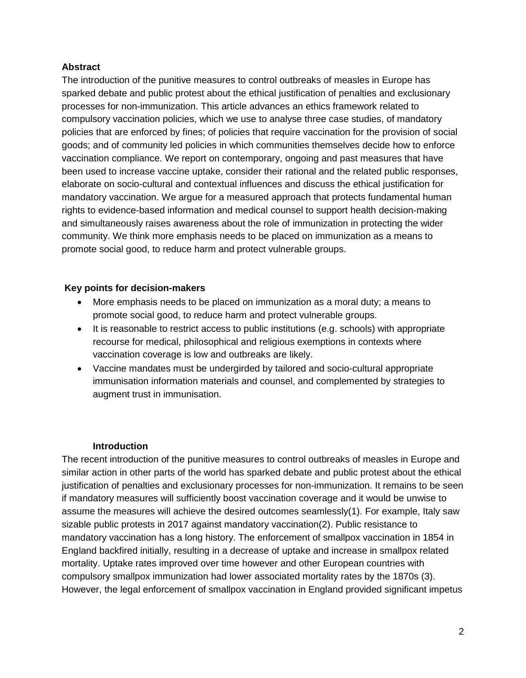## **Abstract**

The introduction of the punitive measures to control outbreaks of measles in Europe has sparked debate and public protest about the ethical justification of penalties and exclusionary processes for non-immunization. This article advances an ethics framework related to compulsory vaccination policies, which we use to analyse three case studies, of mandatory policies that are enforced by fines; of policies that require vaccination for the provision of social goods; and of community led policies in which communities themselves decide how to enforce vaccination compliance. We report on contemporary, ongoing and past measures that have been used to increase vaccine uptake, consider their rational and the related public responses, elaborate on socio-cultural and contextual influences and discuss the ethical justification for mandatory vaccination. We argue for a measured approach that protects fundamental human rights to evidence-based information and medical counsel to support health decision-making and simultaneously raises awareness about the role of immunization in protecting the wider community. We think more emphasis needs to be placed on immunization as a means to promote social good, to reduce harm and protect vulnerable groups.

## **Key points for decision-makers**

- More emphasis needs to be placed on immunization as a moral duty; a means to promote social good, to reduce harm and protect vulnerable groups.
- It is reasonable to restrict access to public institutions (e.g. schools) with appropriate recourse for medical, philosophical and religious exemptions in contexts where vaccination coverage is low and outbreaks are likely.
- Vaccine mandates must be undergirded by tailored and socio-cultural appropriate immunisation information materials and counsel, and complemented by strategies to augment trust in immunisation.

### **Introduction**

The recent introduction of the punitive measures to control outbreaks of measles in Europe and similar action in other parts of the world has sparked debate and public protest about the ethical justification of penalties and exclusionary processes for non-immunization. It remains to be seen if mandatory measures will sufficiently boost vaccination coverage and it would be unwise to assume the measures will achieve the desired outcomes seamlessly(1). For example, Italy saw sizable public protests in 2017 against mandatory vaccination(2). Public resistance to mandatory vaccination has a long history. The enforcement of smallpox vaccination in 1854 in England backfired initially, resulting in a decrease of uptake and increase in smallpox related mortality. Uptake rates improved over time however and other European countries with compulsory smallpox immunization had lower associated mortality rates by the 1870s (3). However, the legal enforcement of smallpox vaccination in England provided significant impetus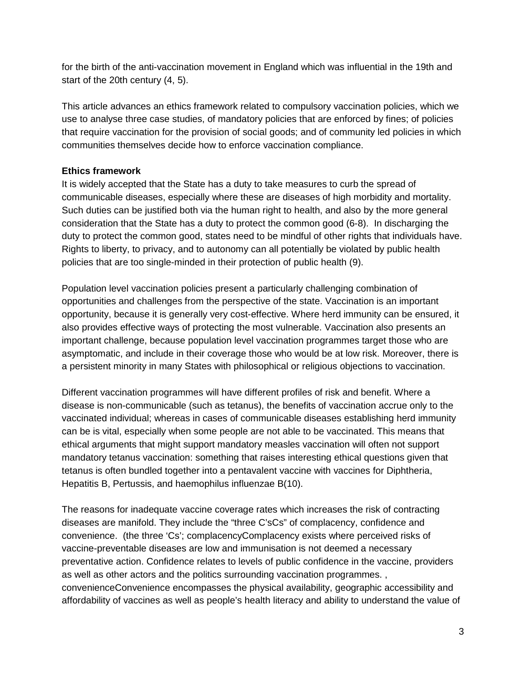for the birth of the anti-vaccination movement in England which was influential in the 19th and start of the 20th century (4, 5).

This article advances an ethics framework related to compulsory vaccination policies, which we use to analyse three case studies, of mandatory policies that are enforced by fines; of policies that require vaccination for the provision of social goods; and of community led policies in which communities themselves decide how to enforce vaccination compliance.

# **Ethics framework**

It is widely accepted that the State has a duty to take measures to curb the spread of communicable diseases, especially where these are diseases of high morbidity and mortality. Such duties can be justified both via the human right to health, and also by the more general consideration that the State has a duty to protect the common good (6-8). In discharging the duty to protect the common good, states need to be mindful of other rights that individuals have. Rights to liberty, to privacy, and to autonomy can all potentially be violated by public health policies that are too single-minded in their protection of public health (9).

Population level vaccination policies present a particularly challenging combination of opportunities and challenges from the perspective of the state. Vaccination is an important opportunity, because it is generally very cost-effective. Where herd immunity can be ensured, it also provides effective ways of protecting the most vulnerable. Vaccination also presents an important challenge, because population level vaccination programmes target those who are asymptomatic, and include in their coverage those who would be at low risk. Moreover, there is a persistent minority in many States with philosophical or religious objections to vaccination.

Different vaccination programmes will have different profiles of risk and benefit. Where a disease is non-communicable (such as tetanus), the benefits of vaccination accrue only to the vaccinated individual; whereas in cases of communicable diseases establishing herd immunity can be is vital, especially when some people are not able to be vaccinated. This means that ethical arguments that might support mandatory measles vaccination will often not support mandatory tetanus vaccination: something that raises interesting ethical questions given that tetanus is often bundled together into a pentavalent vaccine with vaccines for Diphtheria, Hepatitis B, Pertussis, and haemophilus influenzae B(10).

The reasons for inadequate vaccine coverage rates which increases the risk of contracting diseases are manifold. They include the "three C'sCs" of complacency, confidence and convenience. (the three 'Cs'; complacencyComplacency exists where perceived risks of vaccine-preventable diseases are low and immunisation is not deemed a necessary preventative action. Confidence relates to levels of public confidence in the vaccine, providers as well as other actors and the politics surrounding vaccination programmes. , convenienceConvenience encompasses the physical availability, geographic accessibility and affordability of vaccines as well as people's health literacy and ability to understand the value of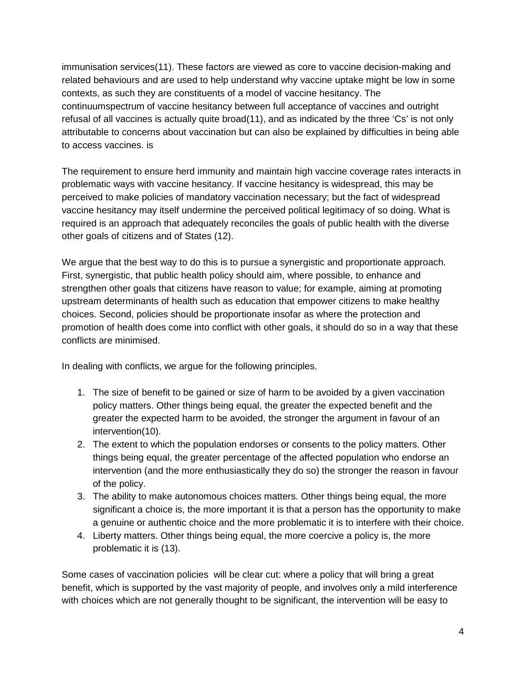immunisation services(11). These factors are viewed as core to vaccine decision-making and related behaviours and are used to help understand why vaccine uptake might be low in some contexts, as such they are constituents of a model of vaccine hesitancy. The continuumspectrum of vaccine hesitancy between full acceptance of vaccines and outright refusal of all vaccines is actually quite broad(11), and as indicated by the three 'Cs' is not only attributable to concerns about vaccination but can also be explained by difficulties in being able to access vaccines. is

The requirement to ensure herd immunity and maintain high vaccine coverage rates interacts in problematic ways with vaccine hesitancy. If vaccine hesitancy is widespread, this may be perceived to make policies of mandatory vaccination necessary; but the fact of widespread vaccine hesitancy may itself undermine the perceived political legitimacy of so doing. What is required is an approach that adequately reconciles the goals of public health with the diverse other goals of citizens and of States (12).

We argue that the best way to do this is to pursue a synergistic and proportionate approach. First, synergistic, that public health policy should aim, where possible, to enhance and strengthen other goals that citizens have reason to value; for example, aiming at promoting upstream determinants of health such as education that empower citizens to make healthy choices. Second, policies should be proportionate insofar as where the protection and promotion of health does come into conflict with other goals, it should do so in a way that these conflicts are minimised.

In dealing with conflicts, we argue for the following principles.

- 1. The size of benefit to be gained or size of harm to be avoided by a given vaccination policy matters. Other things being equal, the greater the expected benefit and the greater the expected harm to be avoided, the stronger the argument in favour of an intervention(10).
- 2. The extent to which the population endorses or consents to the policy matters. Other things being equal, the greater percentage of the affected population who endorse an intervention (and the more enthusiastically they do so) the stronger the reason in favour of the policy.
- 3. The ability to make autonomous choices matters. Other things being equal, the more significant a choice is, the more important it is that a person has the opportunity to make a genuine or authentic choice and the more problematic it is to interfere with their choice.
- 4. Liberty matters. Other things being equal, the more coercive a policy is, the more problematic it is (13).

Some cases of vaccination policies will be clear cut: where a policy that will bring a great benefit, which is supported by the vast majority of people, and involves only a mild interference with choices which are not generally thought to be significant, the intervention will be easy to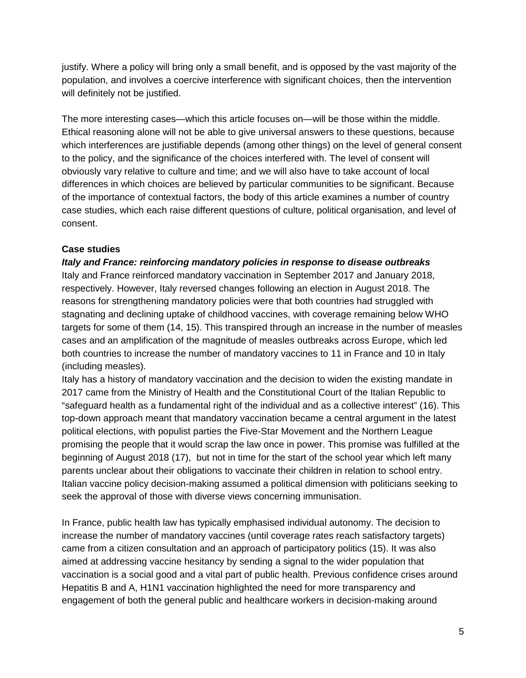justify. Where a policy will bring only a small benefit, and is opposed by the vast majority of the population, and involves a coercive interference with significant choices, then the intervention will definitely not be justified.

The more interesting cases—which this article focuses on—will be those within the middle. Ethical reasoning alone will not be able to give universal answers to these questions, because which interferences are justifiable depends (among other things) on the level of general consent to the policy, and the significance of the choices interfered with. The level of consent will obviously vary relative to culture and time; and we will also have to take account of local differences in which choices are believed by particular communities to be significant. Because of the importance of contextual factors, the body of this article examines a number of country case studies, which each raise different questions of culture, political organisation, and level of consent.

## **Case studies**

#### *Italy and France: reinforcing mandatory policies in response to disease outbreaks*

Italy and France reinforced mandatory vaccination in September 2017 and January 2018, respectively. However, Italy reversed changes following an election in August 2018. The reasons for strengthening mandatory policies were that both countries had struggled with stagnating and declining uptake of childhood vaccines, with coverage remaining below WHO targets for some of them (14, 15). This transpired through an increase in the number of measles cases and an amplification of the magnitude of measles outbreaks across Europe, which led both countries to increase the number of mandatory vaccines to 11 in France and 10 in Italy (including measles).

Italy has a history of mandatory vaccination and the decision to widen the existing mandate in 2017 came from the Ministry of Health and the Constitutional Court of the Italian Republic to "safeguard health as a fundamental right of the individual and as a collective interest" (16). This top-down approach meant that mandatory vaccination became a central argument in the latest political elections, with populist parties the Five-Star Movement and the Northern League promising the people that it would scrap the law once in power. This promise was fulfilled at the beginning of August 2018 (17), but not in time for the start of the school year which left many parents unclear about their obligations to vaccinate their children in relation to school entry. Italian vaccine policy decision-making assumed a political dimension with politicians seeking to seek the approval of those with diverse views concerning immunisation.

In France, public health law has typically emphasised individual autonomy. The decision to increase the number of mandatory vaccines (until coverage rates reach satisfactory targets) came from a citizen consultation and an approach of participatory politics (15). It was also aimed at addressing vaccine hesitancy by sending a signal to the wider population that vaccination is a social good and a vital part of public health. Previous confidence crises around Hepatitis B and A, H1N1 vaccination highlighted the need for more transparency and engagement of both the general public and healthcare workers in decision-making around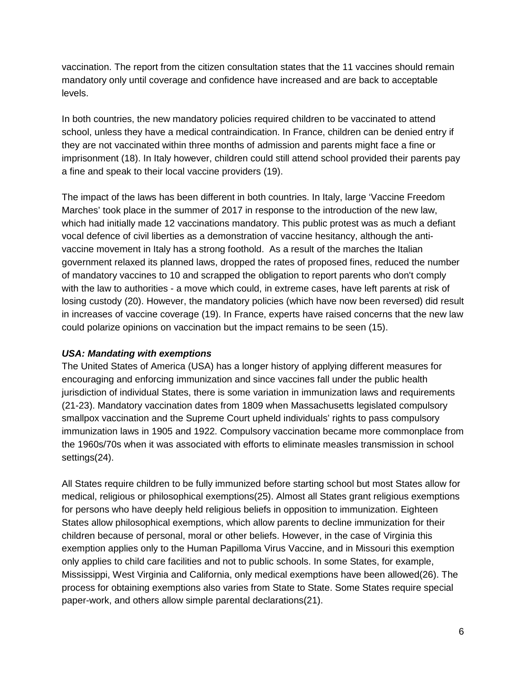vaccination. The report from the citizen consultation states that the 11 vaccines should remain mandatory only until coverage and confidence have increased and are back to acceptable levels.

In both countries, the new mandatory policies required children to be vaccinated to attend school, unless they have a medical contraindication. In France, children can be denied entry if they are not vaccinated within three months of admission and parents might face a fine or imprisonment (18). In Italy however, children could still attend school provided their parents pay a fine and speak to their local vaccine providers (19).

The impact of the laws has been different in both countries. In Italy, large 'Vaccine Freedom Marches' took place in the summer of 2017 in response to the introduction of the new law, which had initially made 12 vaccinations mandatory. This public protest was as much a defiant vocal defence of civil liberties as a demonstration of vaccine hesitancy, although the antivaccine movement in Italy has a strong foothold. As a result of the marches the Italian government relaxed its planned laws, dropped the rates of proposed fines, reduced the number of mandatory vaccines to 10 and scrapped the obligation to report parents who don't comply with the law to authorities - a move which could, in extreme cases, have left parents at risk of losing custody (20). However, the mandatory policies (which have now been reversed) did result in increases of vaccine coverage (19). In France, experts have raised concerns that the new law could polarize opinions on vaccination but the impact remains to be seen (15).

# *USA: Mandating with exemptions*

The United States of America (USA) has a longer history of applying different measures for encouraging and enforcing immunization and since vaccines fall under the public health jurisdiction of individual States, there is some variation in immunization laws and requirements (21-23). Mandatory vaccination dates from 1809 when Massachusetts legislated compulsory smallpox vaccination and the Supreme Court upheld individuals' rights to pass compulsory immunization laws in 1905 and 1922. Compulsory vaccination became more commonplace from the 1960s/70s when it was associated with efforts to eliminate measles transmission in school settings(24).

All States require children to be fully immunized before starting school but most States allow for medical, religious or philosophical exemptions(25). Almost all States grant religious exemptions for persons who have deeply held religious beliefs in opposition to immunization. Eighteen States allow philosophical exemptions, which allow parents to decline immunization for their children because of personal, moral or other beliefs. However, in the case of Virginia this exemption applies only to the Human Papilloma Virus Vaccine, and in Missouri this exemption only applies to child care facilities and not to public schools. In some States, for example, Mississippi, West Virginia and California, only medical exemptions have been allowed(26). The process for obtaining exemptions also varies from State to State. Some States require special paper-work, and others allow simple parental declarations(21).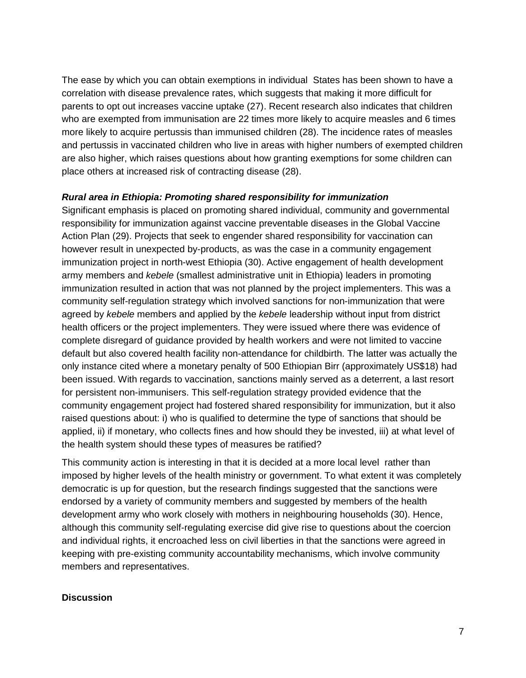The ease by which you can obtain exemptions in individual States has been shown to have a correlation with disease prevalence rates, which suggests that making it more difficult for parents to opt out increases vaccine uptake (27). Recent research also indicates that children who are exempted from immunisation are 22 times more likely to acquire measles and 6 times more likely to acquire pertussis than immunised children (28). The incidence rates of measles and pertussis in vaccinated children who live in areas with higher numbers of exempted children are also higher, which raises questions about how granting exemptions for some children can place others at increased risk of contracting disease (28).

#### *Rural area in Ethiopia: Promoting shared responsibility for immunization*

Significant emphasis is placed on promoting shared individual, community and governmental responsibility for immunization against vaccine preventable diseases in the Global Vaccine Action Plan (29). Projects that seek to engender shared responsibility for vaccination can however result in unexpected by-products, as was the case in a community engagement immunization project in north-west Ethiopia (30). Active engagement of health development army members and *kebele* (smallest administrative unit in Ethiopia) leaders in promoting immunization resulted in action that was not planned by the project implementers. This was a community self-regulation strategy which involved sanctions for non-immunization that were agreed by *kebele* members and applied by the *kebele* leadership without input from district health officers or the project implementers. They were issued where there was evidence of complete disregard of guidance provided by health workers and were not limited to vaccine default but also covered health facility non-attendance for childbirth. The latter was actually the only instance cited where a monetary penalty of 500 Ethiopian Birr (approximately US\$18) had been issued. With regards to vaccination, sanctions mainly served as a deterrent, a last resort for persistent non-immunisers. This self-regulation strategy provided evidence that the community engagement project had fostered shared responsibility for immunization, but it also raised questions about: i) who is qualified to determine the type of sanctions that should be applied, ii) if monetary, who collects fines and how should they be invested, iii) at what level of the health system should these types of measures be ratified?

This community action is interesting in that it is decided at a more local level rather than imposed by higher levels of the health ministry or government. To what extent it was completely democratic is up for question, but the research findings suggested that the sanctions were endorsed by a variety of community members and suggested by members of the health development army who work closely with mothers in neighbouring households (30). Hence, although this community self-regulating exercise did give rise to questions about the coercion and individual rights, it encroached less on civil liberties in that the sanctions were agreed in keeping with pre-existing community accountability mechanisms, which involve community members and representatives.

#### **Discussion**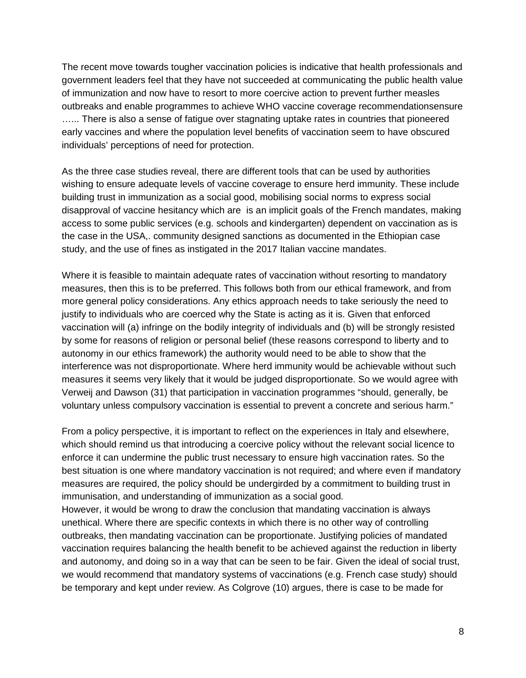The recent move towards tougher vaccination policies is indicative that health professionals and government leaders feel that they have not succeeded at communicating the public health value of immunization and now have to resort to more coercive action to prevent further measles outbreaks and enable programmes to achieve WHO vaccine coverage recommendationsensure ...... There is also a sense of fatigue over stagnating uptake rates in countries that pioneered early vaccines and where the population level benefits of vaccination seem to have obscured individuals' perceptions of need for protection.

As the three case studies reveal, there are different tools that can be used by authorities wishing to ensure adequate levels of vaccine coverage to ensure herd immunity. These include building trust in immunization as a social good, mobilising social norms to express social disapproval of vaccine hesitancy which are is an implicit goals of the French mandates, making access to some public services (e.g. schools and kindergarten) dependent on vaccination as is the case in the USA,. community designed sanctions as documented in the Ethiopian case study, and the use of fines as instigated in the 2017 Italian vaccine mandates.

Where it is feasible to maintain adequate rates of vaccination without resorting to mandatory measures, then this is to be preferred. This follows both from our ethical framework, and from more general policy considerations. Any ethics approach needs to take seriously the need to justify to individuals who are coerced why the State is acting as it is. Given that enforced vaccination will (a) infringe on the bodily integrity of individuals and (b) will be strongly resisted by some for reasons of religion or personal belief (these reasons correspond to liberty and to autonomy in our ethics framework) the authority would need to be able to show that the interference was not disproportionate. Where herd immunity would be achievable without such measures it seems very likely that it would be judged disproportionate. So we would agree with Verweij and Dawson (31) that participation in vaccination programmes "should, generally, be voluntary unless compulsory vaccination is essential to prevent a concrete and serious harm."

From a policy perspective, it is important to reflect on the experiences in Italy and elsewhere, which should remind us that introducing a coercive policy without the relevant social licence to enforce it can undermine the public trust necessary to ensure high vaccination rates. So the best situation is one where mandatory vaccination is not required; and where even if mandatory measures are required, the policy should be undergirded by a commitment to building trust in immunisation, and understanding of immunization as a social good.

However, it would be wrong to draw the conclusion that mandating vaccination is always unethical. Where there are specific contexts in which there is no other way of controlling outbreaks, then mandating vaccination can be proportionate. Justifying policies of mandated vaccination requires balancing the health benefit to be achieved against the reduction in liberty and autonomy, and doing so in a way that can be seen to be fair. Given the ideal of social trust, we would recommend that mandatory systems of vaccinations (e.g. French case study) should be temporary and kept under review. As Colgrove (10) argues, there is case to be made for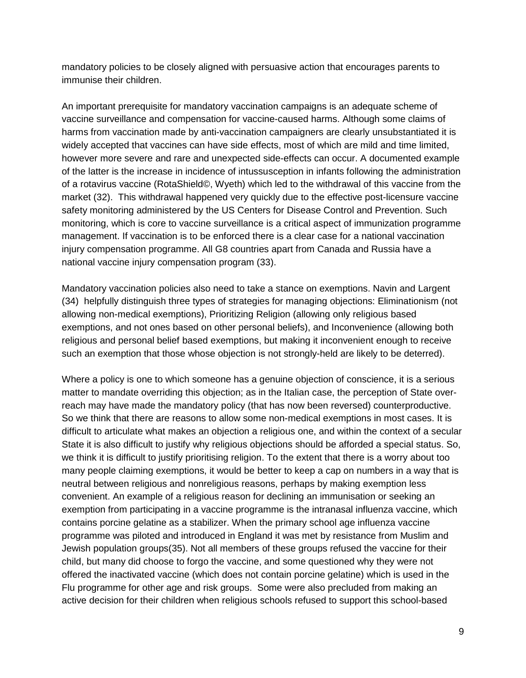mandatory policies to be closely aligned with persuasive action that encourages parents to immunise their children.

An important prerequisite for mandatory vaccination campaigns is an adequate scheme of vaccine surveillance and compensation for vaccine-caused harms. Although some claims of harms from vaccination made by anti-vaccination campaigners are clearly unsubstantiated it is widely accepted that vaccines can have side effects, most of which are mild and time limited, however more severe and rare and unexpected side-effects can occur. A documented example of the latter is the increase in incidence of intussusception in infants following the administration of a rotavirus vaccine (RotaShield©, Wyeth) which led to the withdrawal of this vaccine from the market (32). This withdrawal happened very quickly due to the effective post-licensure vaccine safety monitoring administered by the US Centers for Disease Control and Prevention. Such monitoring, which is core to vaccine surveillance is a critical aspect of immunization programme management. If vaccination is to be enforced there is a clear case for a national vaccination injury compensation programme. All G8 countries apart from Canada and Russia have a national vaccine injury compensation program (33).

Mandatory vaccination policies also need to take a stance on exemptions. Navin and Largent (34) helpfully distinguish three types of strategies for managing objections: Eliminationism (not allowing non-medical exemptions), Prioritizing Religion (allowing only religious based exemptions, and not ones based on other personal beliefs), and Inconvenience (allowing both religious and personal belief based exemptions, but making it inconvenient enough to receive such an exemption that those whose objection is not strongly-held are likely to be deterred).

Where a policy is one to which someone has a genuine objection of conscience, it is a serious matter to mandate overriding this objection; as in the Italian case, the perception of State overreach may have made the mandatory policy (that has now been reversed) counterproductive. So we think that there are reasons to allow some non-medical exemptions in most cases. It is difficult to articulate what makes an objection a religious one, and within the context of a secular State it is also difficult to justify why religious objections should be afforded a special status. So, we think it is difficult to justify prioritising religion. To the extent that there is a worry about too many people claiming exemptions, it would be better to keep a cap on numbers in a way that is neutral between religious and nonreligious reasons, perhaps by making exemption less convenient. An example of a religious reason for declining an immunisation or seeking an exemption from participating in a vaccine programme is the intranasal influenza vaccine, which contains porcine gelatine as a stabilizer. When the primary school age influenza vaccine programme was piloted and introduced in England it was met by resistance from Muslim and Jewish population groups(35). Not all members of these groups refused the vaccine for their child, but many did choose to forgo the vaccine, and some questioned why they were not offered the inactivated vaccine (which does not contain porcine gelatine) which is used in the Flu programme for other age and risk groups. Some were also precluded from making an active decision for their children when religious schools refused to support this school-based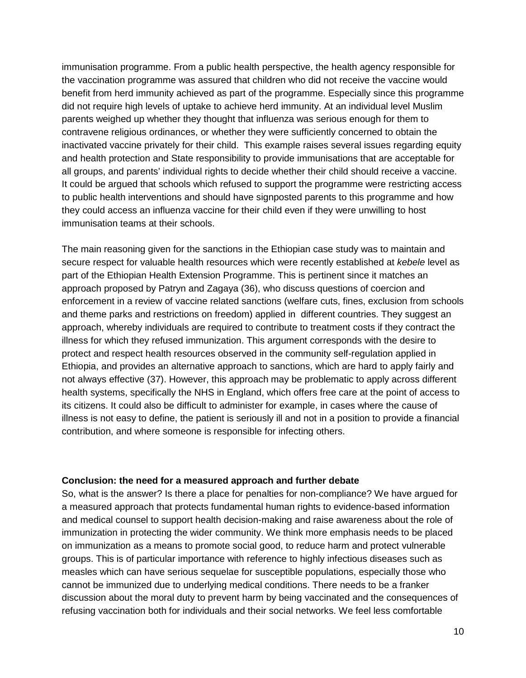immunisation programme. From a public health perspective, the health agency responsible for the vaccination programme was assured that children who did not receive the vaccine would benefit from herd immunity achieved as part of the programme. Especially since this programme did not require high levels of uptake to achieve herd immunity. At an individual level Muslim parents weighed up whether they thought that influenza was serious enough for them to contravene religious ordinances, or whether they were sufficiently concerned to obtain the inactivated vaccine privately for their child. This example raises several issues regarding equity and health protection and State responsibility to provide immunisations that are acceptable for all groups, and parents' individual rights to decide whether their child should receive a vaccine. It could be argued that schools which refused to support the programme were restricting access to public health interventions and should have signposted parents to this programme and how they could access an influenza vaccine for their child even if they were unwilling to host immunisation teams at their schools.

The main reasoning given for the sanctions in the Ethiopian case study was to maintain and secure respect for valuable health resources which were recently established at *kebele* level as part of the Ethiopian Health Extension Programme. This is pertinent since it matches an approach proposed by Patryn and Zagaya (36), who discuss questions of coercion and enforcement in a review of vaccine related sanctions (welfare cuts, fines, exclusion from schools and theme parks and restrictions on freedom) applied in different countries. They suggest an approach, whereby individuals are required to contribute to treatment costs if they contract the illness for which they refused immunization. This argument corresponds with the desire to protect and respect health resources observed in the community self-regulation applied in Ethiopia, and provides an alternative approach to sanctions, which are hard to apply fairly and not always effective (37). However, this approach may be problematic to apply across different health systems, specifically the NHS in England, which offers free care at the point of access to its citizens. It could also be difficult to administer for example, in cases where the cause of illness is not easy to define, the patient is seriously ill and not in a position to provide a financial contribution, and where someone is responsible for infecting others.

### **Conclusion: the need for a measured approach and further debate**

So, what is the answer? Is there a place for penalties for non-compliance? We have argued for a measured approach that protects fundamental human rights to evidence-based information and medical counsel to support health decision-making and raise awareness about the role of immunization in protecting the wider community. We think more emphasis needs to be placed on immunization as a means to promote social good, to reduce harm and protect vulnerable groups. This is of particular importance with reference to highly infectious diseases such as measles which can have serious sequelae for susceptible populations, especially those who cannot be immunized due to underlying medical conditions. There needs to be a franker discussion about the moral duty to prevent harm by being vaccinated and the consequences of refusing vaccination both for individuals and their social networks. We feel less comfortable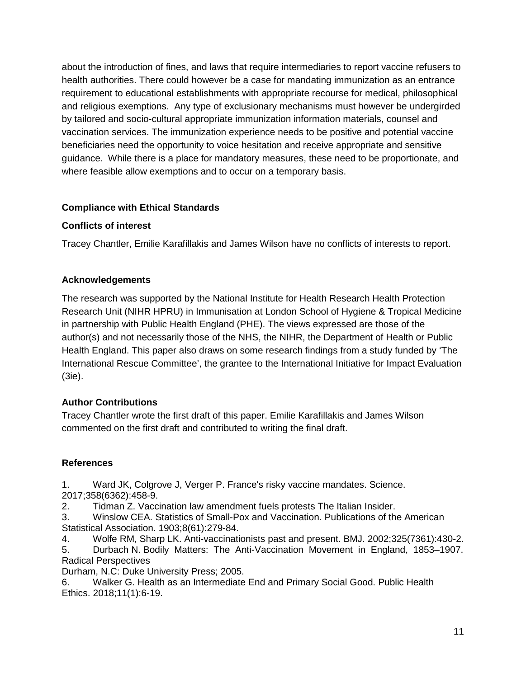about the introduction of fines, and laws that require intermediaries to report vaccine refusers to health authorities. There could however be a case for mandating immunization as an entrance requirement to educational establishments with appropriate recourse for medical, philosophical and religious exemptions. Any type of exclusionary mechanisms must however be undergirded by tailored and socio-cultural appropriate immunization information materials, counsel and vaccination services. The immunization experience needs to be positive and potential vaccine beneficiaries need the opportunity to voice hesitation and receive appropriate and sensitive guidance. While there is a place for mandatory measures, these need to be proportionate, and where feasible allow exemptions and to occur on a temporary basis.

# **Compliance with Ethical Standards**

# **Conflicts of interest**

Tracey Chantler, Emilie Karafillakis and James Wilson have no conflicts of interests to report.

## **Acknowledgements**

The research was supported by the National Institute for Health Research Health Protection Research Unit (NIHR HPRU) in Immunisation at London School of Hygiene & Tropical Medicine in partnership with Public Health England (PHE). The views expressed are those of the author(s) and not necessarily those of the NHS, the NIHR, the Department of Health or Public Health England. This paper also draws on some research findings from a study funded by 'The International Rescue Committee', the grantee to the International Initiative for Impact Evaluation (3ie).

# **Author Contributions**

Tracey Chantler wrote the first draft of this paper. Emilie Karafillakis and James Wilson commented on the first draft and contributed to writing the final draft.

### **References**

1. Ward JK, Colgrove J, Verger P. France's risky vaccine mandates. Science. 2017;358(6362):458-9.

2. Tidman Z. Vaccination law amendment fuels protests The Italian Insider.

3. Winslow CEA. Statistics of Small-Pox and Vaccination. Publications of the American Statistical Association. 1903;8(61):279-84.

4. Wolfe RM, Sharp LK. Anti-vaccinationists past and present. BMJ. 2002;325(7361):430-2.

5. Durbach N. Bodily Matters: The Anti-Vaccination Movement in England, 1853–1907. Radical Perspectives

Durham, N.C: Duke University Press; 2005.

6. Walker G. Health as an Intermediate End and Primary Social Good. Public Health Ethics. 2018;11(1):6-19.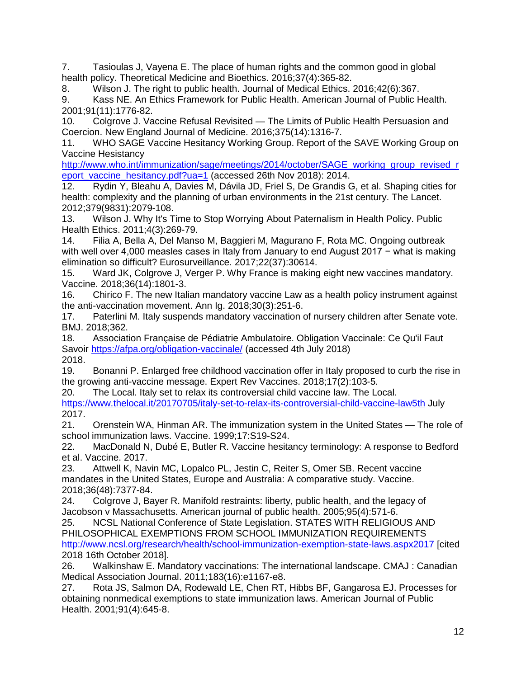7. Tasioulas J, Vayena E. The place of human rights and the common good in global health policy. Theoretical Medicine and Bioethics. 2016;37(4):365-82.

8. Wilson J. The right to public health. Journal of Medical Ethics. 2016;42(6):367.

9. Kass NE. An Ethics Framework for Public Health. American Journal of Public Health. 2001;91(11):1776-82.

10. Colgrove J. Vaccine Refusal Revisited — The Limits of Public Health Persuasion and Coercion. New England Journal of Medicine. 2016;375(14):1316-7.

11. WHO SAGE Vaccine Hesitancy Working Group. Report of the SAVE Working Group on Vaccine Hesistancy

[http://www.who.int/immunization/sage/meetings/2014/october/SAGE\\_working\\_group\\_revised\\_r](http://www.who.int/immunization/sage/meetings/2014/october/SAGE_working_group_revised_report_vaccine_hesitancy.pdf?ua=1) [eport\\_vaccine\\_hesitancy.pdf?ua=1](http://www.who.int/immunization/sage/meetings/2014/october/SAGE_working_group_revised_report_vaccine_hesitancy.pdf?ua=1) (accessed 26th Nov 2018): 2014.

12. Rydin Y, Bleahu A, Davies M, Dávila JD, Friel S, De Grandis G, et al. Shaping cities for health: complexity and the planning of urban environments in the 21st century. The Lancet. 2012;379(9831):2079-108.

13. Wilson J. Why It's Time to Stop Worrying About Paternalism in Health Policy. Public Health Ethics. 2011;4(3):269-79.

14. Filia A, Bella A, Del Manso M, Baggieri M, Magurano F, Rota MC. Ongoing outbreak with well over 4,000 measles cases in Italy from January to end August 2017 − what is making elimination so difficult? Eurosurveillance. 2017;22(37):30614.

15. Ward JK, Colgrove J, Verger P. Why France is making eight new vaccines mandatory. Vaccine. 2018;36(14):1801-3.

16. Chirico F. The new Italian mandatory vaccine Law as a health policy instrument against the anti-vaccination movement. Ann Ig. 2018;30(3):251-6.

17. Paterlini M. Italy suspends mandatory vaccination of nursery children after Senate vote. BMJ. 2018;362.

18. Association Française de Pédiatrie Ambulatoire. Obligation Vaccinale: Ce Qu'il Faut Savoir<https://afpa.org/obligation-vaccinale/>(accessed 4th July 2018) 2018.

19. Bonanni P. Enlarged free childhood vaccination offer in Italy proposed to curb the rise in the growing anti-vaccine message. Expert Rev Vaccines. 2018;17(2):103-5.

20. The Local. Italy set to relax its controversial child vaccine law. The Local. <https://www.thelocal.it/20170705/italy-set-to-relax-its-controversial-child-vaccine-law5th>July 2017.

21. Orenstein WA, Hinman AR. The immunization system in the United States — The role of school immunization laws. Vaccine. 1999;17:S19-S24.

22. MacDonald N, Dubé E, Butler R. Vaccine hesitancy terminology: A response to Bedford et al. Vaccine. 2017.

23. Attwell K, Navin MC, Lopalco PL, Jestin C, Reiter S, Omer SB. Recent vaccine mandates in the United States, Europe and Australia: A comparative study. Vaccine. 2018;36(48):7377-84.

24. Colgrove J, Bayer R. Manifold restraints: liberty, public health, and the legacy of Jacobson v Massachusetts. American journal of public health. 2005;95(4):571-6.

25. NCSL National Conference of State Legislation. STATES WITH RELIGIOUS AND PHILOSOPHICAL EXEMPTIONS FROM SCHOOL IMMUNIZATION REQUIREMENTS <http://www.ncsl.org/research/health/school-immunization-exemption-state-laws.aspx2017>[cited 2018 16th October 2018].

26. Walkinshaw E. Mandatory vaccinations: The international landscape. CMAJ : Canadian Medical Association Journal. 2011;183(16):e1167-e8.

27. Rota JS, Salmon DA, Rodewald LE, Chen RT, Hibbs BF, Gangarosa EJ. Processes for obtaining nonmedical exemptions to state immunization laws. American Journal of Public Health. 2001;91(4):645-8.